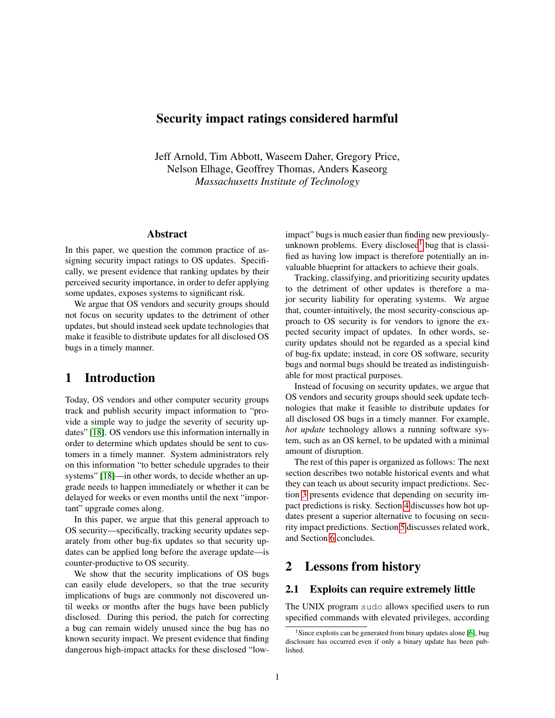## <span id="page-0-0"></span>Security impact ratings considered harmful

Jeff Arnold, Tim Abbott, Waseem Daher, Gregory Price, Nelson Elhage, Geoffrey Thomas, Anders Kaseorg *Massachusetts Institute of Technology*

### Abstract

In this paper, we question the common practice of assigning security impact ratings to OS updates. Specifically, we present evidence that ranking updates by their perceived security importance, in order to defer applying some updates, exposes systems to significant risk.

We argue that OS vendors and security groups should not focus on security updates to the detriment of other updates, but should instead seek update technologies that make it feasible to distribute updates for all disclosed OS bugs in a timely manner.

# 1 Introduction

Today, OS vendors and other computer security groups track and publish security impact information to "provide a simple way to judge the severity of security updates" [\[18\]](#page-4-0). OS vendors use this information internally in order to determine which updates should be sent to customers in a timely manner. System administrators rely on this information "to better schedule upgrades to their systems" [\[18\]](#page-4-0)—in other words, to decide whether an upgrade needs to happen immediately or whether it can be delayed for weeks or even months until the next "important" upgrade comes along.

In this paper, we argue that this general approach to OS security—specifically, tracking security updates separately from other bug-fix updates so that security updates can be applied long before the average update—is counter-productive to OS security.

We show that the security implications of OS bugs can easily elude developers, so that the true security implications of bugs are commonly not discovered until weeks or months after the bugs have been publicly disclosed. During this period, the patch for correcting a bug can remain widely unused since the bug has no known security impact. We present evidence that finding dangerous high-impact attacks for these disclosed "lowimpact" bugs is much easier than finding new previouslyunknown problems. Every disclosed<sup>1</sup> bug that is classified as having low impact is therefore potentially an invaluable blueprint for attackers to achieve their goals.

Tracking, classifying, and prioritizing security updates to the detriment of other updates is therefore a major security liability for operating systems. We argue that, counter-intuitively, the most security-conscious approach to OS security is for vendors to ignore the expected security impact of updates. In other words, security updates should not be regarded as a special kind of bug-fix update; instead, in core OS software, security bugs and normal bugs should be treated as indistinguishable for most practical purposes.

Instead of focusing on security updates, we argue that OS vendors and security groups should seek update technologies that make it feasible to distribute updates for all disclosed OS bugs in a timely manner. For example, *hot update* technology allows a running software system, such as an OS kernel, to be updated with a minimal amount of disruption.

The rest of this paper is organized as follows: The next section describes two notable historical events and what they can teach us about security impact predictions. Section [3](#page-1-0) presents evidence that depending on security impact predictions is risky. Section [4](#page-3-0) discusses how hot updates present a superior alternative to focusing on security impact predictions. Section [5](#page-3-1) discusses related work, and Section [6](#page-3-2) concludes.

## 2 Lessons from history

### 2.1 Exploits can require extremely little

The UNIX program sudo allows specified users to run specified commands with elevated privileges, according

<sup>&</sup>lt;sup>1</sup>Since exploits can be generated from binary updates alone [\[6\]](#page-4-1), bug disclosure has occurred even if only a binary update has been published.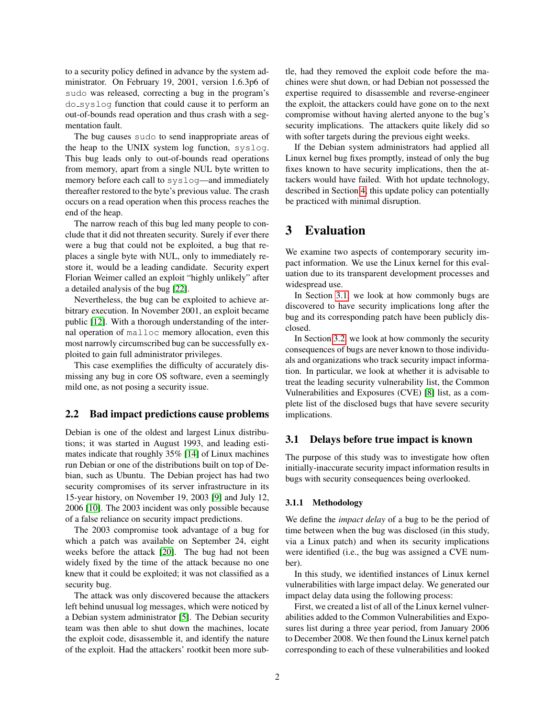to a security policy defined in advance by the system administrator. On February 19, 2001, version 1.6.3p6 of sudo was released, correcting a bug in the program's do\_syslog function that could cause it to perform an out-of-bounds read operation and thus crash with a segmentation fault.

The bug causes sudo to send inappropriate areas of the heap to the UNIX system log function, syslog. This bug leads only to out-of-bounds read operations from memory, apart from a single NUL byte written to memory before each call to syslog—and immediately thereafter restored to the byte's previous value. The crash occurs on a read operation when this process reaches the end of the heap.

The narrow reach of this bug led many people to conclude that it did not threaten security. Surely if ever there were a bug that could not be exploited, a bug that replaces a single byte with NUL, only to immediately restore it, would be a leading candidate. Security expert Florian Weimer called an exploit "highly unlikely" after a detailed analysis of the bug [\[22\]](#page-4-2).

Nevertheless, the bug can be exploited to achieve arbitrary execution. In November 2001, an exploit became public [\[12\]](#page-4-3). With a thorough understanding of the internal operation of malloc memory allocation, even this most narrowly circumscribed bug can be successfully exploited to gain full administrator privileges.

This case exemplifies the difficulty of accurately dismissing any bug in core OS software, even a seemingly mild one, as not posing a security issue.

### 2.2 Bad impact predictions cause problems

Debian is one of the oldest and largest Linux distributions; it was started in August 1993, and leading estimates indicate that roughly 35% [\[14\]](#page-4-4) of Linux machines run Debian or one of the distributions built on top of Debian, such as Ubuntu. The Debian project has had two security compromises of its server infrastructure in its 15-year history, on November 19, 2003 [\[9\]](#page-4-5) and July 12, 2006 [\[10\]](#page-4-6). The 2003 incident was only possible because of a false reliance on security impact predictions.

The 2003 compromise took advantage of a bug for which a patch was available on September 24, eight weeks before the attack [\[20\]](#page-4-7). The bug had not been widely fixed by the time of the attack because no one knew that it could be exploited; it was not classified as a security bug.

The attack was only discovered because the attackers left behind unusual log messages, which were noticed by a Debian system administrator [\[5\]](#page-4-8). The Debian security team was then able to shut down the machines, locate the exploit code, disassemble it, and identify the nature of the exploit. Had the attackers' rootkit been more subtle, had they removed the exploit code before the machines were shut down, or had Debian not possessed the expertise required to disassemble and reverse-engineer the exploit, the attackers could have gone on to the next compromise without having alerted anyone to the bug's security implications. The attackers quite likely did so with softer targets during the previous eight weeks.

If the Debian system administrators had applied all Linux kernel bug fixes promptly, instead of only the bug fixes known to have security implications, then the attackers would have failed. With hot update technology, described in Section [4,](#page-3-0) this update policy can potentially be practiced with minimal disruption.

# <span id="page-1-0"></span>3 Evaluation

We examine two aspects of contemporary security impact information. We use the Linux kernel for this evaluation due to its transparent development processes and widespread use.

In Section [3.1,](#page-1-1) we look at how commonly bugs are discovered to have security implications long after the bug and its corresponding patch have been publicly disclosed.

In Section [3.2,](#page-2-0) we look at how commonly the security consequences of bugs are never known to those individuals and organizations who track security impact information. In particular, we look at whether it is advisable to treat the leading security vulnerability list, the Common Vulnerabilities and Exposures (CVE) [\[8\]](#page-4-9) list, as a complete list of the disclosed bugs that have severe security implications.

### <span id="page-1-1"></span>3.1 Delays before true impact is known

The purpose of this study was to investigate how often initially-inaccurate security impact information results in bugs with security consequences being overlooked.

#### 3.1.1 Methodology

We define the *impact delay* of a bug to be the period of time between when the bug was disclosed (in this study, via a Linux patch) and when its security implications were identified (i.e., the bug was assigned a CVE number).

In this study, we identified instances of Linux kernel vulnerabilities with large impact delay. We generated our impact delay data using the following process:

First, we created a list of all of the Linux kernel vulnerabilities added to the Common Vulnerabilities and Exposures list during a three year period, from January 2006 to December 2008. We then found the Linux kernel patch corresponding to each of these vulnerabilities and looked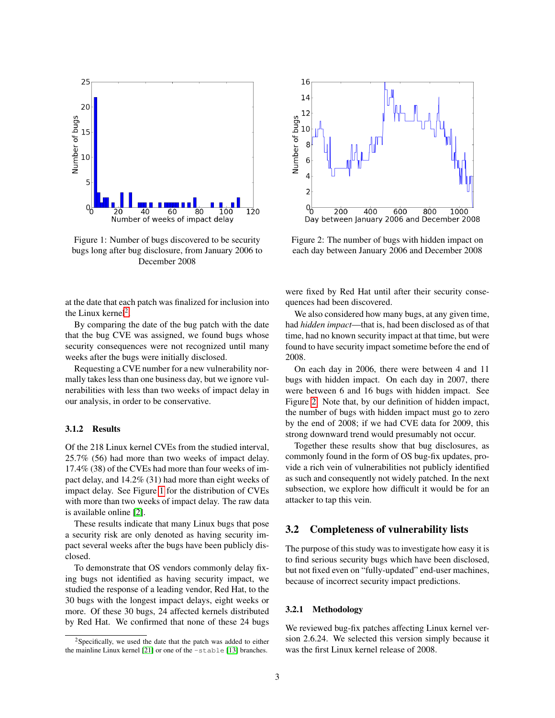

<span id="page-2-1"></span>Figure 1: Number of bugs discovered to be security bugs long after bug disclosure, from January 2006 to December 2008



By comparing the date of the bug patch with the date that the bug CVE was assigned, we found bugs whose security consequences were not recognized until many weeks after the bugs were initially disclosed.

Requesting a CVE number for a new vulnerability normally takes less than one business day, but we ignore vulnerabilities with less than two weeks of impact delay in our analysis, in order to be conservative.

#### 3.1.2 Results

Of the 218 Linux kernel CVEs from the studied interval, 25.7% (56) had more than two weeks of impact delay. 17.4% (38) of the CVEs had more than four weeks of impact delay, and 14.2% (31) had more than eight weeks of impact delay. See Figure [1](#page-2-1) for the distribution of CVEs with more than two weeks of impact delay. The raw data is available online [\[2\]](#page-4-10).

These results indicate that many Linux bugs that pose a security risk are only denoted as having security impact several weeks after the bugs have been publicly disclosed.

To demonstrate that OS vendors commonly delay fixing bugs not identified as having security impact, we studied the response of a leading vendor, Red Hat, to the 30 bugs with the longest impact delays, eight weeks or more. Of these 30 bugs, 24 affected kernels distributed by Red Hat. We confirmed that none of these 24 bugs



<span id="page-2-2"></span>Figure 2: The number of bugs with hidden impact on each day between January 2006 and December 2008

were fixed by Red Hat until after their security consequences had been discovered.

We also considered how many bugs, at any given time, had *hidden impact*—that is, had been disclosed as of that time, had no known security impact at that time, but were found to have security impact sometime before the end of 2008.

On each day in 2006, there were between 4 and 11 bugs with hidden impact. On each day in 2007, there were between 6 and 16 bugs with hidden impact. See Figure [2.](#page-2-2) Note that, by our definition of hidden impact, the number of bugs with hidden impact must go to zero by the end of 2008; if we had CVE data for 2009, this strong downward trend would presumably not occur.

Together these results show that bug disclosures, as commonly found in the form of OS bug-fix updates, provide a rich vein of vulnerabilities not publicly identified as such and consequently not widely patched. In the next subsection, we explore how difficult it would be for an attacker to tap this vein.

### <span id="page-2-0"></span>3.2 Completeness of vulnerability lists

The purpose of this study was to investigate how easy it is to find serious security bugs which have been disclosed, but not fixed even on "fully-updated" end-user machines, because of incorrect security impact predictions.

#### 3.2.1 Methodology

We reviewed bug-fix patches affecting Linux kernel version 2.6.24. We selected this version simply because it was the first Linux kernel release of 2008.

<sup>2</sup>Specifically, we used the date that the patch was added to either the mainline Linux kernel [\[21\]](#page-4-11) or one of the -stable [\[13\]](#page-4-12) branches.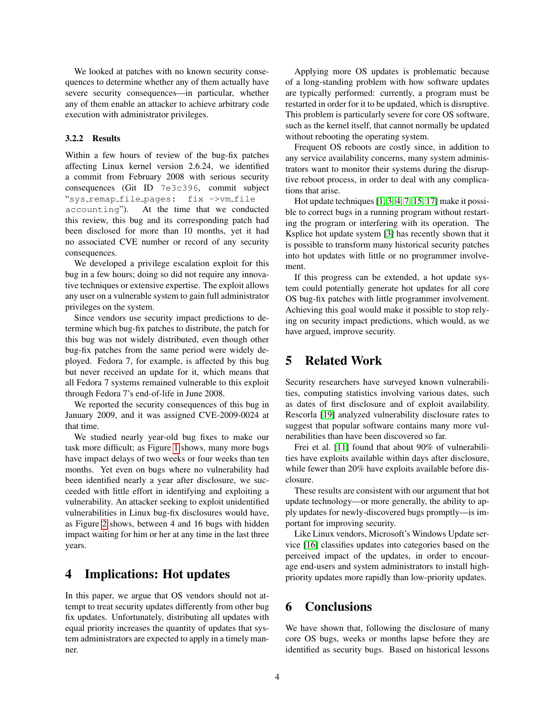We looked at patches with no known security consequences to determine whether any of them actually have severe security consequences—in particular, whether any of them enable an attacker to achieve arbitrary code execution with administrator privileges.

#### 3.2.2 Results

Within a few hours of review of the bug-fix patches affecting Linux kernel version 2.6.24, we identified a commit from February 2008 with serious security consequences (Git ID 7e3c396, commit subject "sys remap file pages: fix ->vm file accounting"). At the time that we conducted this review, this bug and its corresponding patch had been disclosed for more than 10 months, yet it had no associated CVE number or record of any security consequences.

We developed a privilege escalation exploit for this bug in a few hours; doing so did not require any innovative techniques or extensive expertise. The exploit allows any user on a vulnerable system to gain full administrator privileges on the system.

Since vendors use security impact predictions to determine which bug-fix patches to distribute, the patch for this bug was not widely distributed, even though other bug-fix patches from the same period were widely deployed. Fedora 7, for example, is affected by this bug but never received an update for it, which means that all Fedora 7 systems remained vulnerable to this exploit through Fedora 7's end-of-life in June 2008.

We reported the security consequences of this bug in January 2009, and it was assigned CVE-2009-0024 at that time.

We studied nearly year-old bug fixes to make our task more difficult; as Figure [1](#page-2-1) shows, many more bugs have impact delays of two weeks or four weeks than ten months. Yet even on bugs where no vulnerability had been identified nearly a year after disclosure, we succeeded with little effort in identifying and exploiting a vulnerability. An attacker seeking to exploit unidentified vulnerabilities in Linux bug-fix disclosures would have, as Figure [2](#page-2-2) shows, between 4 and 16 bugs with hidden impact waiting for him or her at any time in the last three years.

## <span id="page-3-0"></span>4 Implications: Hot updates

In this paper, we argue that OS vendors should not attempt to treat security updates differently from other bug fix updates. Unfortunately, distributing all updates with equal priority increases the quantity of updates that system administrators are expected to apply in a timely manner.

Applying more OS updates is problematic because of a long-standing problem with how software updates are typically performed: currently, a program must be restarted in order for it to be updated, which is disruptive. This problem is particularly severe for core OS software, such as the kernel itself, that cannot normally be updated without rebooting the operating system.

Frequent OS reboots are costly since, in addition to any service availability concerns, many system administrators want to monitor their systems during the disruptive reboot process, in order to deal with any complications that arise.

Hot update techniques [\[1,](#page-4-13) [3,](#page-4-14) [4,](#page-4-15) [7,](#page-4-16) [15,](#page-4-17) [17\]](#page-4-18) make it possible to correct bugs in a running program without restarting the program or interfering with its operation. The Ksplice hot update system [\[3\]](#page-4-14) has recently shown that it is possible to transform many historical security patches into hot updates with little or no programmer involvement.

If this progress can be extended, a hot update system could potentially generate hot updates for all core OS bug-fix patches with little programmer involvement. Achieving this goal would make it possible to stop relying on security impact predictions, which would, as we have argued, improve security.

# <span id="page-3-1"></span>5 Related Work

Security researchers have surveyed known vulnerabilities, computing statistics involving various dates, such as dates of first disclosure and of exploit availability. Rescorla [\[19\]](#page-4-19) analyzed vulnerability disclosure rates to suggest that popular software contains many more vulnerabilities than have been discovered so far.

Frei et al. [\[11\]](#page-4-20) found that about 90% of vulnerabilities have exploits available within days after disclosure, while fewer than 20% have exploits available before disclosure.

These results are consistent with our argument that hot update technology—or more generally, the ability to apply updates for newly-discovered bugs promptly—is important for improving security.

Like Linux vendors, Microsoft's Windows Update service [\[16\]](#page-4-21) classifies updates into categories based on the perceived impact of the updates, in order to encourage end-users and system administrators to install highpriority updates more rapidly than low-priority updates.

## <span id="page-3-2"></span>6 Conclusions

We have shown that, following the disclosure of many core OS bugs, weeks or months lapse before they are identified as security bugs. Based on historical lessons